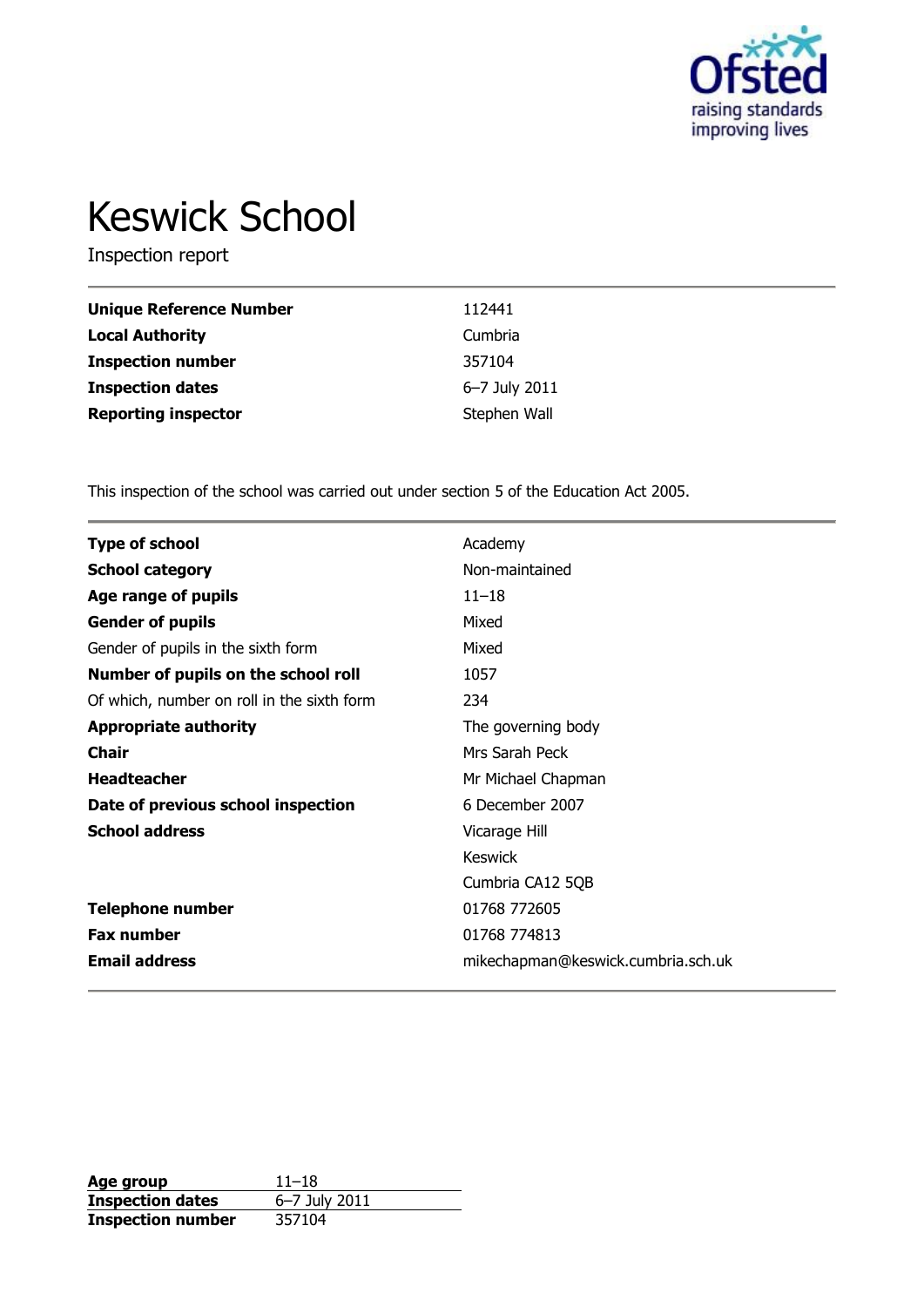

# Keswick School

Inspection report

| <b>Unique Reference Number</b> | 112441        |
|--------------------------------|---------------|
| <b>Local Authority</b>         | Cumbria       |
| <b>Inspection number</b>       | 357104        |
| <b>Inspection dates</b>        | 6-7 July 2011 |
| <b>Reporting inspector</b>     | Stephen Wall  |

This inspection of the school was carried out under section 5 of the Education Act 2005.

| <b>Type of school</b>                      | Academy                            |
|--------------------------------------------|------------------------------------|
| <b>School category</b>                     | Non-maintained                     |
| Age range of pupils                        | $11 - 18$                          |
| <b>Gender of pupils</b>                    | Mixed                              |
| Gender of pupils in the sixth form         | Mixed                              |
| Number of pupils on the school roll        | 1057                               |
| Of which, number on roll in the sixth form | 234                                |
| <b>Appropriate authority</b>               | The governing body                 |
| <b>Chair</b>                               | Mrs Sarah Peck                     |
| <b>Headteacher</b>                         | Mr Michael Chapman                 |
| Date of previous school inspection         | 6 December 2007                    |
| <b>School address</b>                      | Vicarage Hill                      |
|                                            | <b>Keswick</b>                     |
|                                            | Cumbria CA12 5QB                   |
| <b>Telephone number</b>                    | 01768 772605                       |
| <b>Fax number</b>                          | 01768 774813                       |
| <b>Email address</b>                       | mikechapman@keswick.cumbria.sch.uk |

**Age group** 11–18 **Inspection dates** 6–7 July 2011 **Inspection number** 357104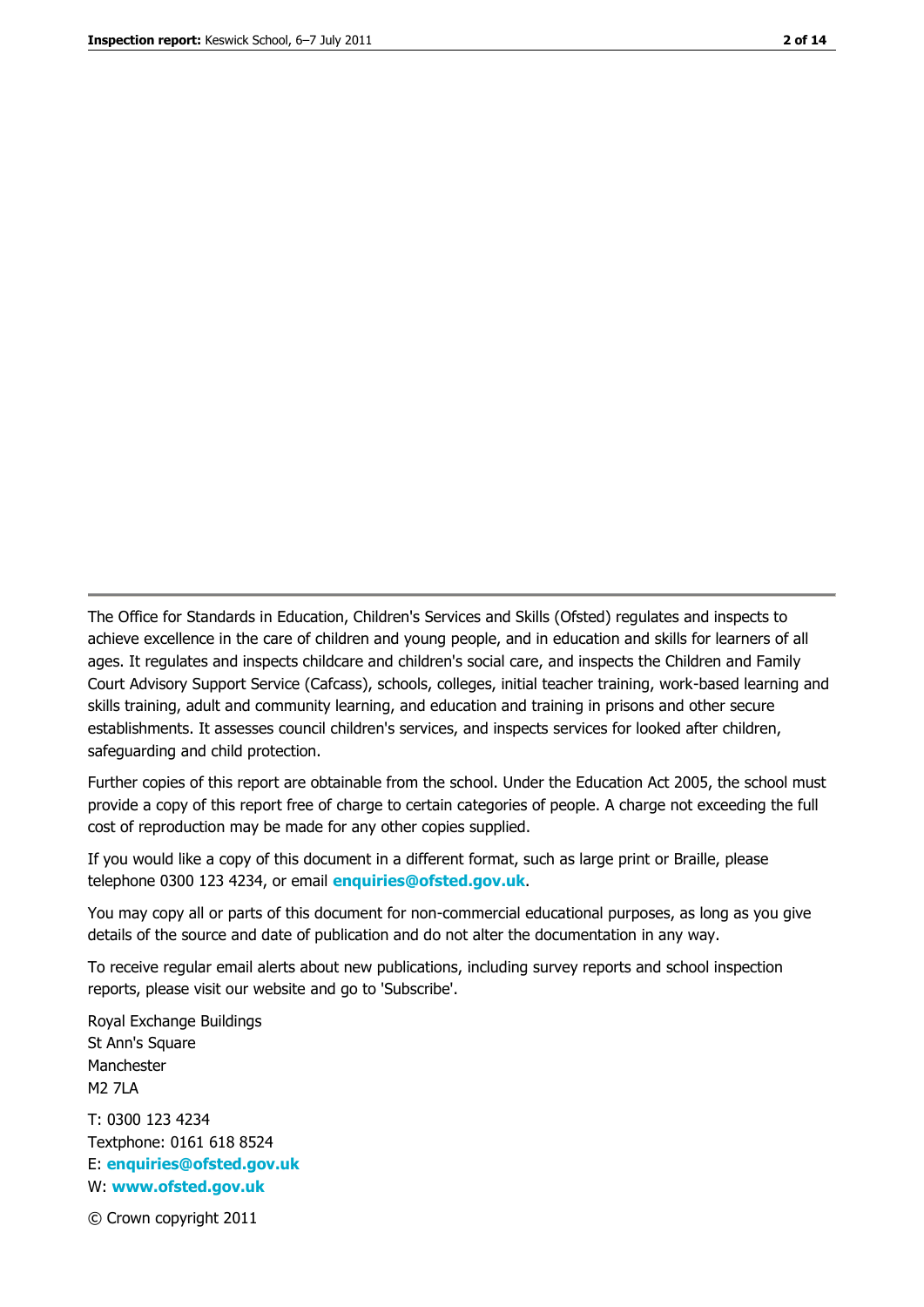The Office for Standards in Education, Children's Services and Skills (Ofsted) regulates and inspects to achieve excellence in the care of children and young people, and in education and skills for learners of all ages. It regulates and inspects childcare and children's social care, and inspects the Children and Family Court Advisory Support Service (Cafcass), schools, colleges, initial teacher training, work-based learning and skills training, adult and community learning, and education and training in prisons and other secure establishments. It assesses council children's services, and inspects services for looked after children, safeguarding and child protection.

Further copies of this report are obtainable from the school. Under the Education Act 2005, the school must provide a copy of this report free of charge to certain categories of people. A charge not exceeding the full cost of reproduction may be made for any other copies supplied.

If you would like a copy of this document in a different format, such as large print or Braille, please telephone 0300 123 4234, or email **[enquiries@ofsted.gov.uk](mailto:enquiries@ofsted.gov.uk)**.

You may copy all or parts of this document for non-commercial educational purposes, as long as you give details of the source and date of publication and do not alter the documentation in any way.

To receive regular email alerts about new publications, including survey reports and school inspection reports, please visit our website and go to 'Subscribe'.

Royal Exchange Buildings St Ann's Square Manchester M2 7LA T: 0300 123 4234 Textphone: 0161 618 8524 E: **[enquiries@ofsted.gov.uk](mailto:enquiries@ofsted.gov.uk)**

W: **[www.ofsted.gov.uk](http://www.ofsted.gov.uk/)**

© Crown copyright 2011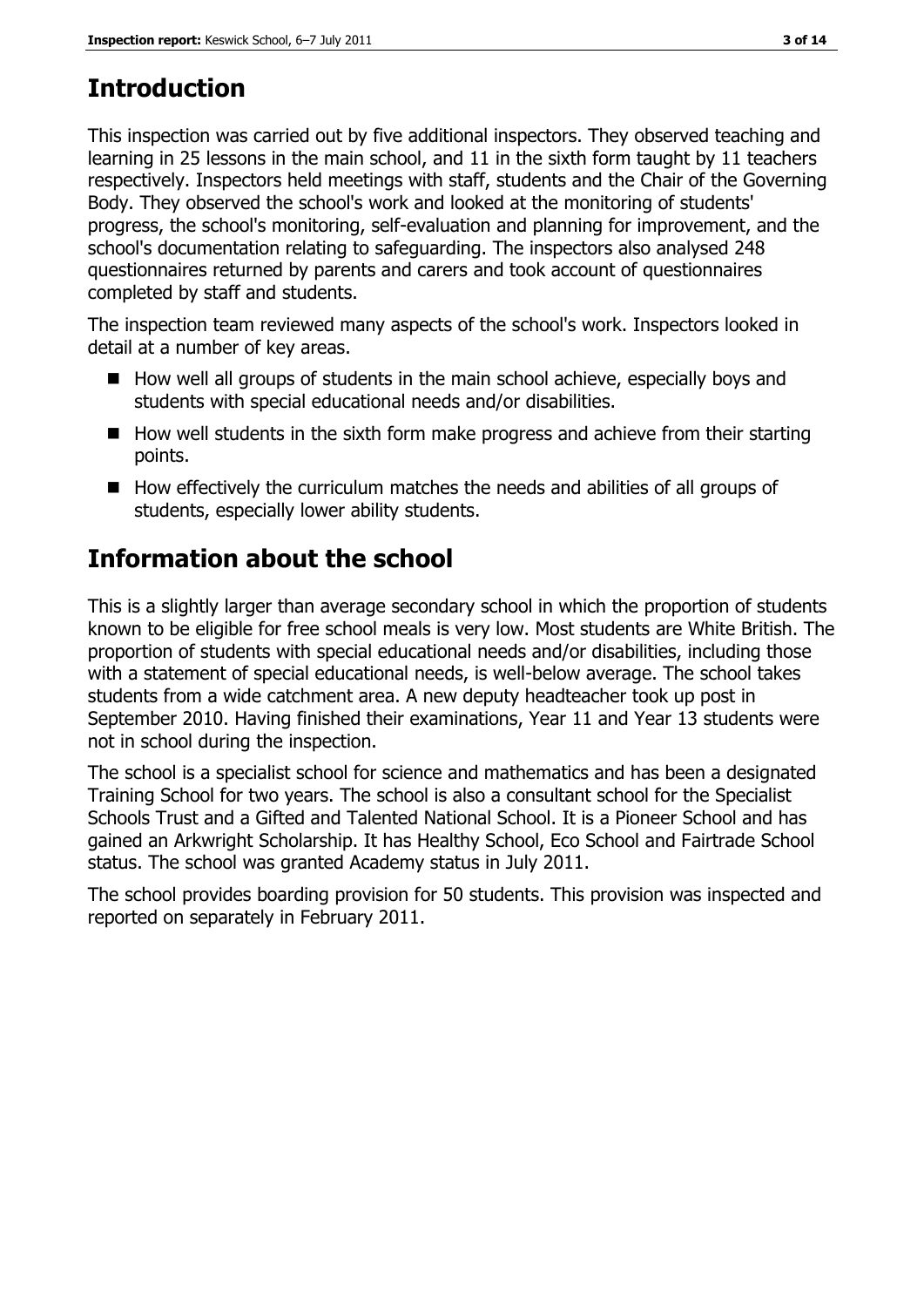# **Introduction**

This inspection was carried out by five additional inspectors. They observed teaching and learning in 25 lessons in the main school, and 11 in the sixth form taught by 11 teachers respectively. Inspectors held meetings with staff, students and the Chair of the Governing Body. They observed the school's work and looked at the monitoring of students' progress, the school's monitoring, self-evaluation and planning for improvement, and the school's documentation relating to safeguarding. The inspectors also analysed 248 questionnaires returned by parents and carers and took account of questionnaires completed by staff and students.

The inspection team reviewed many aspects of the school's work. Inspectors looked in detail at a number of key areas.

- $\blacksquare$  How well all groups of students in the main school achieve, especially boys and students with special educational needs and/or disabilities.
- $\blacksquare$  How well students in the sixth form make progress and achieve from their starting points.
- $\blacksquare$  How effectively the curriculum matches the needs and abilities of all groups of students, especially lower ability students.

# **Information about the school**

This is a slightly larger than average secondary school in which the proportion of students known to be eligible for free school meals is very low. Most students are White British. The proportion of students with special educational needs and/or disabilities, including those with a statement of special educational needs, is well-below average. The school takes students from a wide catchment area. A new deputy headteacher took up post in September 2010. Having finished their examinations, Year 11 and Year 13 students were not in school during the inspection.

The school is a specialist school for science and mathematics and has been a designated Training School for two years. The school is also a consultant school for the Specialist Schools Trust and a Gifted and Talented National School. It is a Pioneer School and has gained an Arkwright Scholarship. It has Healthy School, Eco School and Fairtrade School status. The school was granted Academy status in July 2011.

The school provides boarding provision for 50 students. This provision was inspected and reported on separately in February 2011.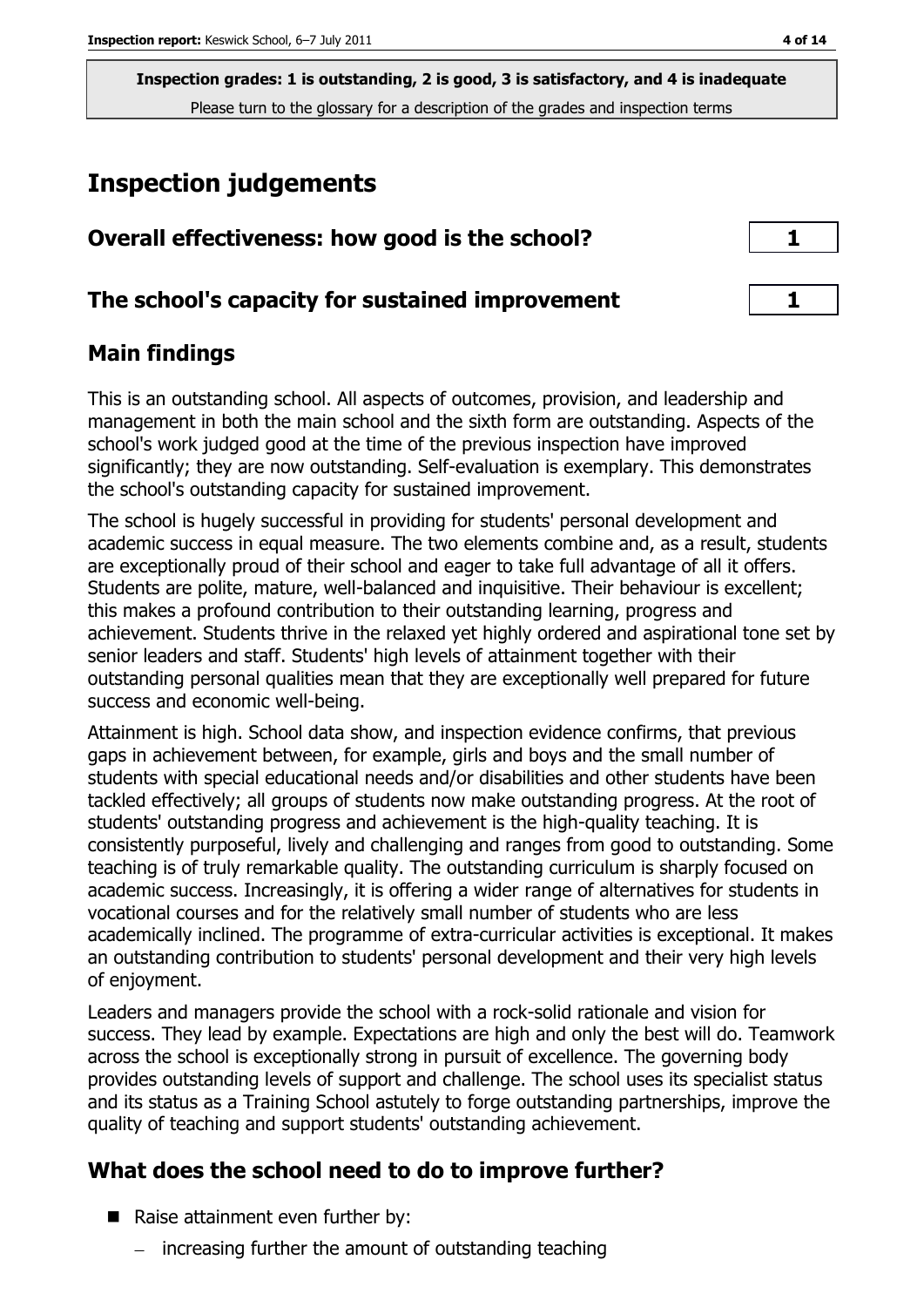# **Inspection judgements**

| Overall effectiveness: how good is the school?  |  |
|-------------------------------------------------|--|
| The school's capacity for sustained improvement |  |

## **Main findings**

This is an outstanding school. All aspects of outcomes, provision, and leadership and management in both the main school and the sixth form are outstanding. Aspects of the school's work judged good at the time of the previous inspection have improved significantly; they are now outstanding. Self-evaluation is exemplary. This demonstrates the school's outstanding capacity for sustained improvement.

The school is hugely successful in providing for students' personal development and academic success in equal measure. The two elements combine and, as a result, students are exceptionally proud of their school and eager to take full advantage of all it offers. Students are polite, mature, well-balanced and inquisitive. Their behaviour is excellent; this makes a profound contribution to their outstanding learning, progress and achievement. Students thrive in the relaxed yet highly ordered and aspirational tone set by senior leaders and staff. Students' high levels of attainment together with their outstanding personal qualities mean that they are exceptionally well prepared for future success and economic well-being.

Attainment is high. School data show, and inspection evidence confirms, that previous gaps in achievement between, for example, girls and boys and the small number of students with special educational needs and/or disabilities and other students have been tackled effectively; all groups of students now make outstanding progress. At the root of students' outstanding progress and achievement is the high-quality teaching. It is consistently purposeful, lively and challenging and ranges from good to outstanding. Some teaching is of truly remarkable quality. The outstanding curriculum is sharply focused on academic success. Increasingly, it is offering a wider range of alternatives for students in vocational courses and for the relatively small number of students who are less academically inclined. The programme of extra-curricular activities is exceptional. It makes an outstanding contribution to students' personal development and their very high levels of enjoyment.

Leaders and managers provide the school with a rock-solid rationale and vision for success. They lead by example. Expectations are high and only the best will do. Teamwork across the school is exceptionally strong in pursuit of excellence. The governing body provides outstanding levels of support and challenge. The school uses its specialist status and its status as a Training School astutely to forge outstanding partnerships, improve the quality of teaching and support students' outstanding achievement.

## **What does the school need to do to improve further?**

- Raise attainment even further by:
	- $\overline{-}$  increasing further the amount of outstanding teaching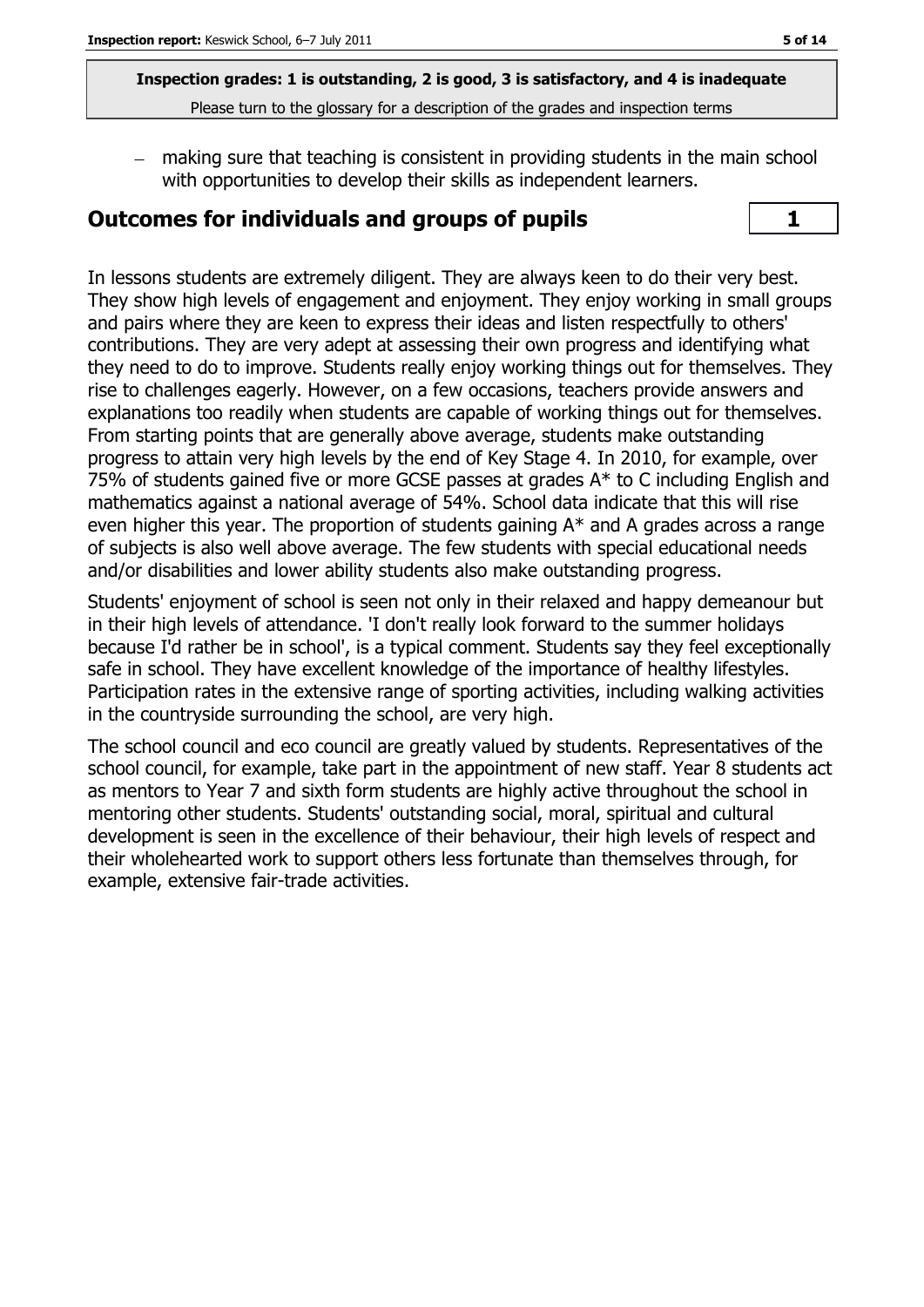making sure that teaching is consistent in providing students in the main school with opportunities to develop their skills as independent learners.

#### **Outcomes for individuals and groups of pupils 1**



In lessons students are extremely diligent. They are always keen to do their very best. They show high levels of engagement and enjoyment. They enjoy working in small groups and pairs where they are keen to express their ideas and listen respectfully to others' contributions. They are very adept at assessing their own progress and identifying what they need to do to improve. Students really enjoy working things out for themselves. They rise to challenges eagerly. However, on a few occasions, teachers provide answers and explanations too readily when students are capable of working things out for themselves. From starting points that are generally above average, students make outstanding progress to attain very high levels by the end of Key Stage 4. In 2010, for example, over 75% of students gained five or more GCSE passes at grades  $A^*$  to C including English and mathematics against a national average of 54%. School data indicate that this will rise even higher this year. The proportion of students gaining A\* and A grades across a range of subjects is also well above average. The few students with special educational needs and/or disabilities and lower ability students also make outstanding progress.

Students' enjoyment of school is seen not only in their relaxed and happy demeanour but in their high levels of attendance. 'I don't really look forward to the summer holidays because I'd rather be in school', is a typical comment. Students say they feel exceptionally safe in school. They have excellent knowledge of the importance of healthy lifestyles. Participation rates in the extensive range of sporting activities, including walking activities in the countryside surrounding the school, are very high.

The school council and eco council are greatly valued by students. Representatives of the school council, for example, take part in the appointment of new staff. Year 8 students act as mentors to Year 7 and sixth form students are highly active throughout the school in mentoring other students. Students' outstanding social, moral, spiritual and cultural development is seen in the excellence of their behaviour, their high levels of respect and their wholehearted work to support others less fortunate than themselves through, for example, extensive fair-trade activities.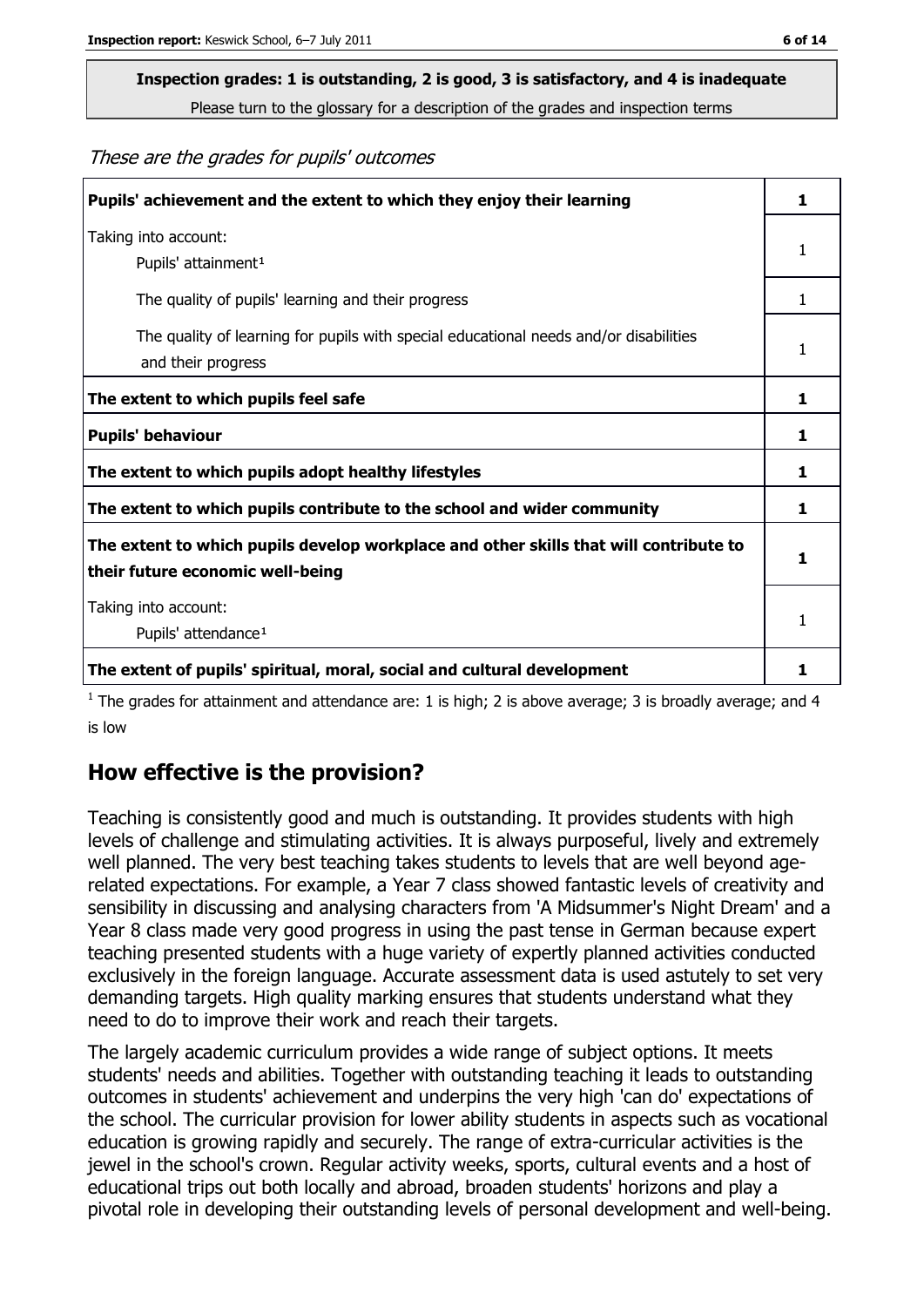These are the grades for pupils' outcomes

| Pupils' achievement and the extent to which they enjoy their learning                                                     | 1. |
|---------------------------------------------------------------------------------------------------------------------------|----|
| Taking into account:<br>Pupils' attainment <sup>1</sup>                                                                   | 1  |
| The quality of pupils' learning and their progress                                                                        | 1. |
| The quality of learning for pupils with special educational needs and/or disabilities<br>and their progress               | 1  |
| The extent to which pupils feel safe                                                                                      | 1  |
| <b>Pupils' behaviour</b>                                                                                                  | ı  |
| The extent to which pupils adopt healthy lifestyles                                                                       | 1. |
| The extent to which pupils contribute to the school and wider community                                                   | 1  |
| The extent to which pupils develop workplace and other skills that will contribute to<br>their future economic well-being |    |
| Taking into account:<br>Pupils' attendance <sup>1</sup>                                                                   | 1  |
| The extent of pupils' spiritual, moral, social and cultural development                                                   |    |

 $<sup>1</sup>$  The grades for attainment and attendance are: 1 is high; 2 is above average; 3 is broadly average; and 4</sup> is low

#### **How effective is the provision?**

Teaching is consistently good and much is outstanding. It provides students with high levels of challenge and stimulating activities. It is always purposeful, lively and extremely well planned. The very best teaching takes students to levels that are well beyond agerelated expectations. For example, a Year 7 class showed fantastic levels of creativity and sensibility in discussing and analysing characters from 'A Midsummer's Night Dream' and a Year 8 class made very good progress in using the past tense in German because expert teaching presented students with a huge variety of expertly planned activities conducted exclusively in the foreign language. Accurate assessment data is used astutely to set very demanding targets. High quality marking ensures that students understand what they need to do to improve their work and reach their targets.

The largely academic curriculum provides a wide range of subject options. It meets students' needs and abilities. Together with outstanding teaching it leads to outstanding outcomes in students' achievement and underpins the very high 'can do' expectations of the school. The curricular provision for lower ability students in aspects such as vocational education is growing rapidly and securely. The range of extra-curricular activities is the jewel in the school's crown. Regular activity weeks, sports, cultural events and a host of educational trips out both locally and abroad, broaden students' horizons and play a pivotal role in developing their outstanding levels of personal development and well-being.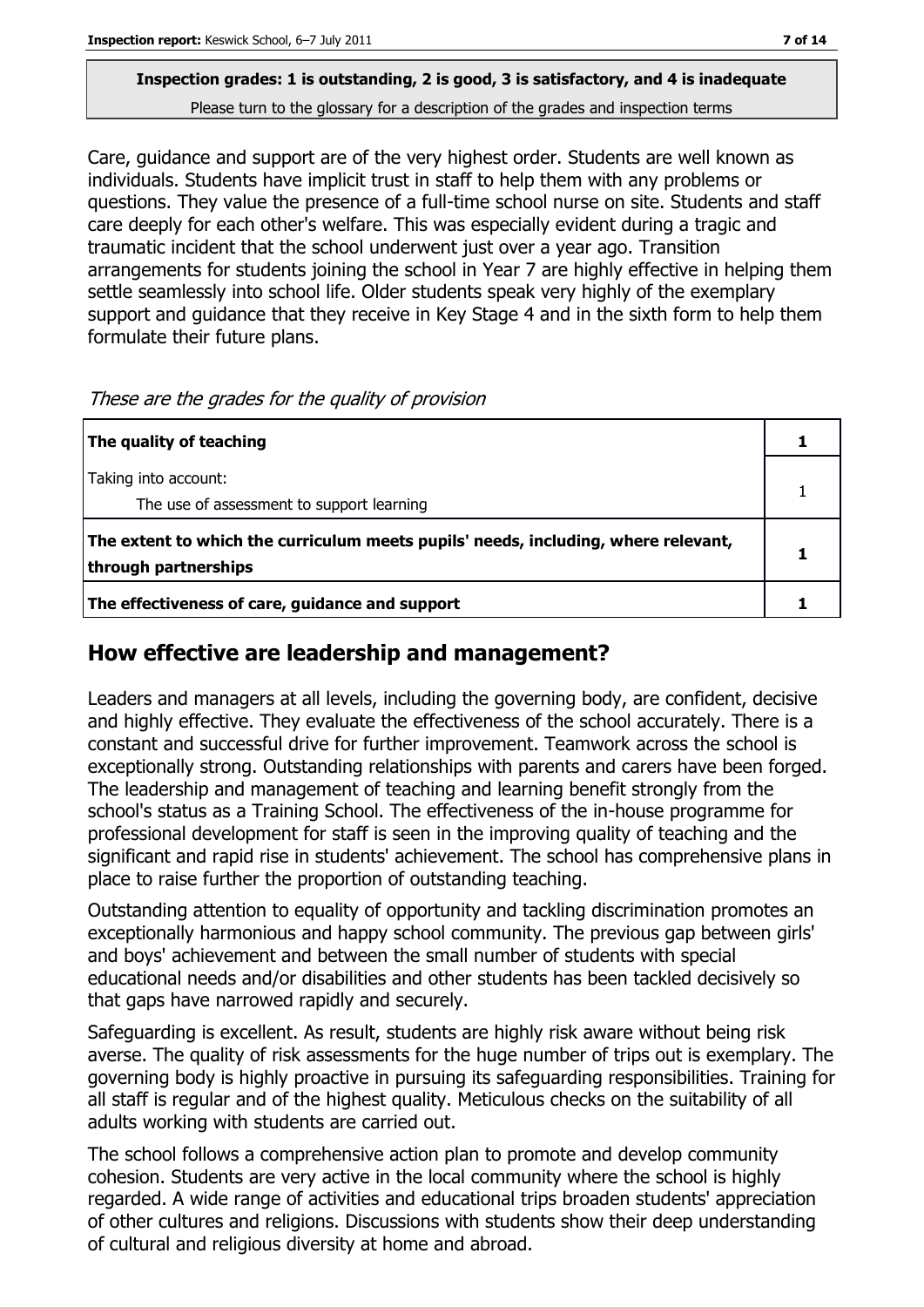Care, guidance and support are of the very highest order. Students are well known as individuals. Students have implicit trust in staff to help them with any problems or questions. They value the presence of a full-time school nurse on site. Students and staff care deeply for each other's welfare. This was especially evident during a tragic and traumatic incident that the school underwent just over a year ago. Transition arrangements for students joining the school in Year 7 are highly effective in helping them settle seamlessly into school life. Older students speak very highly of the exemplary support and guidance that they receive in Key Stage 4 and in the sixth form to help them formulate their future plans.

| The quality of teaching                                                                                    |  |
|------------------------------------------------------------------------------------------------------------|--|
| Taking into account:<br>The use of assessment to support learning                                          |  |
| The extent to which the curriculum meets pupils' needs, including, where relevant,<br>through partnerships |  |
| The effectiveness of care, guidance and support                                                            |  |

These are the grades for the quality of provision

## **How effective are leadership and management?**

Leaders and managers at all levels, including the governing body, are confident, decisive and highly effective. They evaluate the effectiveness of the school accurately. There is a constant and successful drive for further improvement. Teamwork across the school is exceptionally strong. Outstanding relationships with parents and carers have been forged. The leadership and management of teaching and learning benefit strongly from the school's status as a Training School. The effectiveness of the in-house programme for professional development for staff is seen in the improving quality of teaching and the significant and rapid rise in students' achievement. The school has comprehensive plans in place to raise further the proportion of outstanding teaching.

Outstanding attention to equality of opportunity and tackling discrimination promotes an exceptionally harmonious and happy school community. The previous gap between girls' and boys' achievement and between the small number of students with special educational needs and/or disabilities and other students has been tackled decisively so that gaps have narrowed rapidly and securely.

Safeguarding is excellent. As result, students are highly risk aware without being risk averse. The quality of risk assessments for the huge number of trips out is exemplary. The governing body is highly proactive in pursuing its safeguarding responsibilities. Training for all staff is regular and of the highest quality. Meticulous checks on the suitability of all adults working with students are carried out.

The school follows a comprehensive action plan to promote and develop community cohesion. Students are very active in the local community where the school is highly regarded. A wide range of activities and educational trips broaden students' appreciation of other cultures and religions. Discussions with students show their deep understanding of cultural and religious diversity at home and abroad.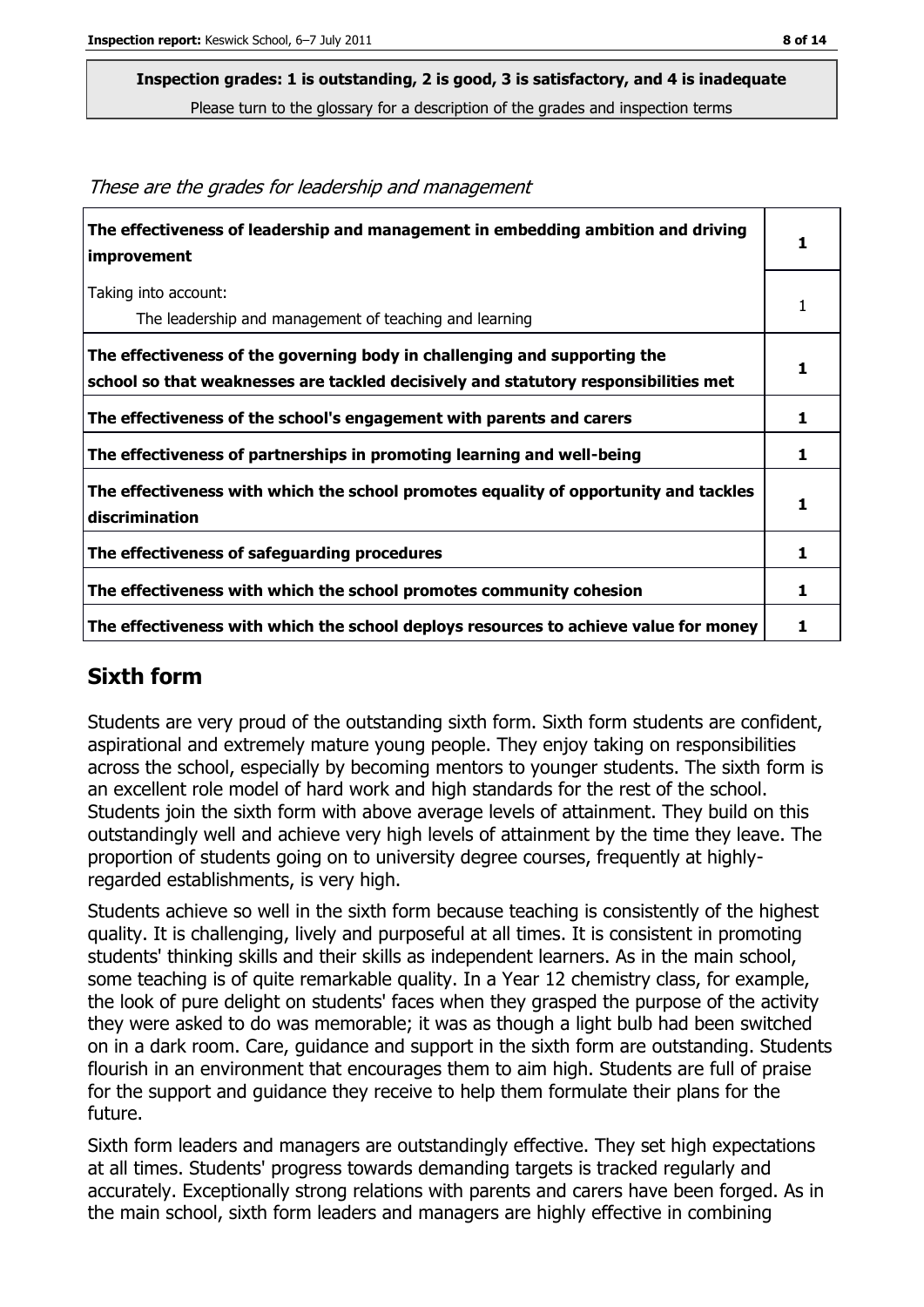These are the grades for leadership and management

| The effectiveness of leadership and management in embedding ambition and driving<br><i>improvement</i>                                                           |   |
|------------------------------------------------------------------------------------------------------------------------------------------------------------------|---|
| Taking into account:<br>The leadership and management of teaching and learning                                                                                   |   |
| The effectiveness of the governing body in challenging and supporting the<br>school so that weaknesses are tackled decisively and statutory responsibilities met |   |
| The effectiveness of the school's engagement with parents and carers                                                                                             | 1 |
| The effectiveness of partnerships in promoting learning and well-being                                                                                           | 1 |
| The effectiveness with which the school promotes equality of opportunity and tackles<br>discrimination                                                           |   |
| The effectiveness of safeguarding procedures                                                                                                                     | 1 |
| The effectiveness with which the school promotes community cohesion                                                                                              | 1 |
| The effectiveness with which the school deploys resources to achieve value for money                                                                             |   |

#### **Sixth form**

Students are very proud of the outstanding sixth form. Sixth form students are confident, aspirational and extremely mature young people. They enjoy taking on responsibilities across the school, especially by becoming mentors to younger students. The sixth form is an excellent role model of hard work and high standards for the rest of the school. Students join the sixth form with above average levels of attainment. They build on this outstandingly well and achieve very high levels of attainment by the time they leave. The proportion of students going on to university degree courses, frequently at highlyregarded establishments, is very high.

Students achieve so well in the sixth form because teaching is consistently of the highest quality. It is challenging, lively and purposeful at all times. It is consistent in promoting students' thinking skills and their skills as independent learners. As in the main school, some teaching is of quite remarkable quality. In a Year 12 chemistry class, for example, the look of pure delight on students' faces when they grasped the purpose of the activity they were asked to do was memorable; it was as though a light bulb had been switched on in a dark room. Care, guidance and support in the sixth form are outstanding. Students flourish in an environment that encourages them to aim high. Students are full of praise for the support and guidance they receive to help them formulate their plans for the future.

Sixth form leaders and managers are outstandingly effective. They set high expectations at all times. Students' progress towards demanding targets is tracked regularly and accurately. Exceptionally strong relations with parents and carers have been forged. As in the main school, sixth form leaders and managers are highly effective in combining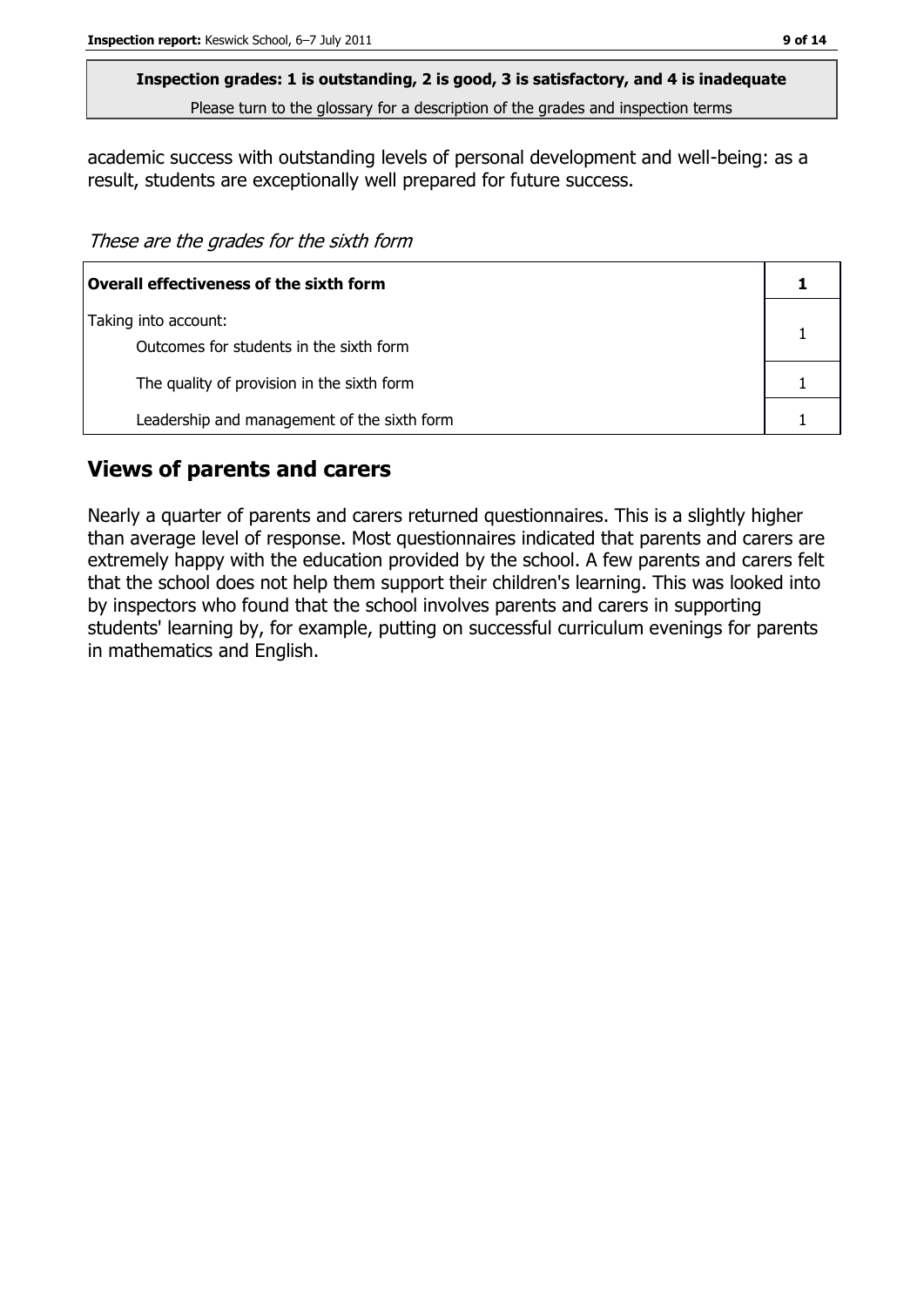academic success with outstanding levels of personal development and well-being: as a result, students are exceptionally well prepared for future success.

These are the grades for the sixth form

| Overall effectiveness of the sixth form     |  |
|---------------------------------------------|--|
| Taking into account:                        |  |
| Outcomes for students in the sixth form     |  |
| The quality of provision in the sixth form  |  |
| Leadership and management of the sixth form |  |

#### **Views of parents and carers**

Nearly a quarter of parents and carers returned questionnaires. This is a slightly higher than average level of response. Most questionnaires indicated that parents and carers are extremely happy with the education provided by the school. A few parents and carers felt that the school does not help them support their children's learning. This was looked into by inspectors who found that the school involves parents and carers in supporting students' learning by, for example, putting on successful curriculum evenings for parents in mathematics and English.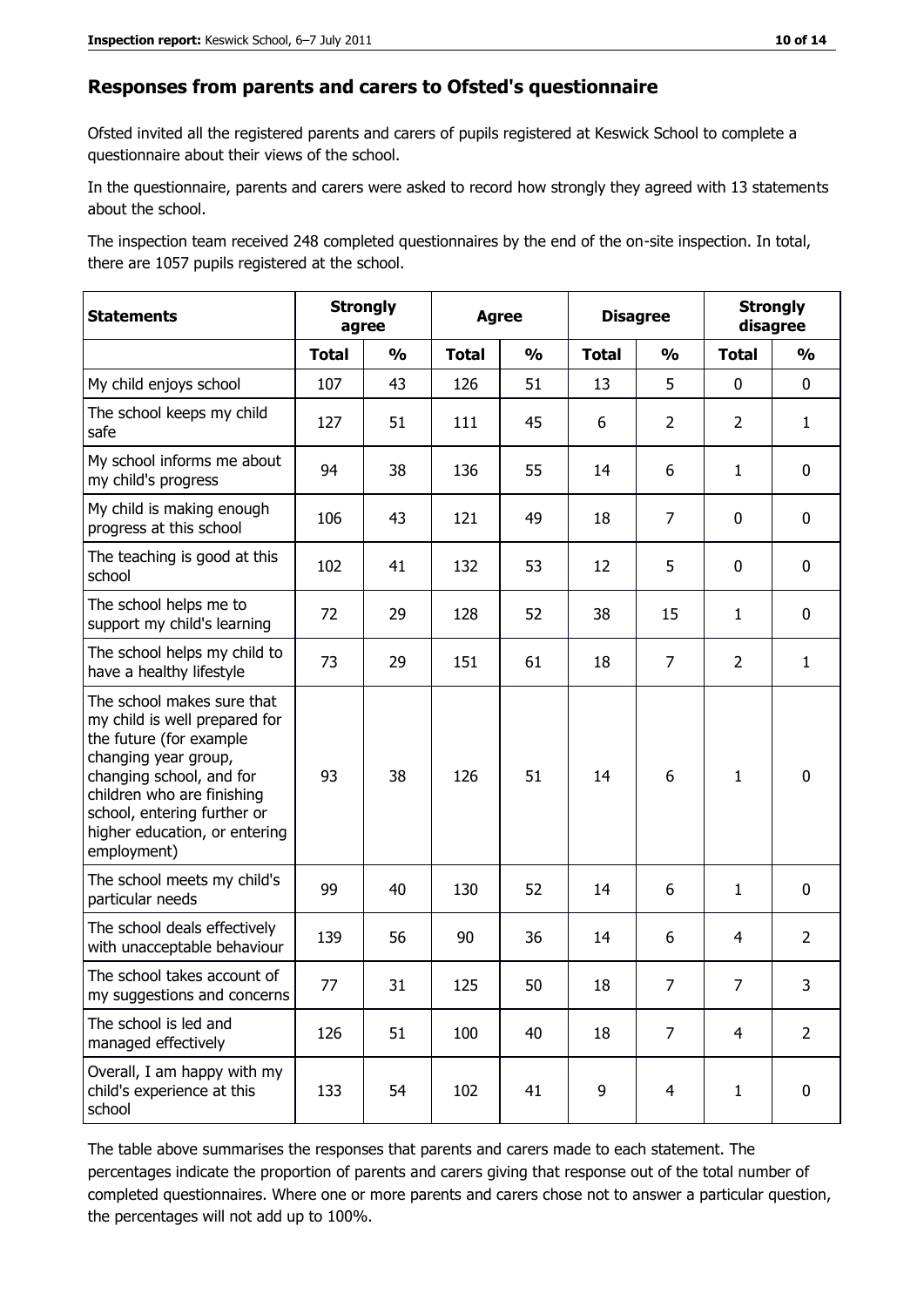#### **Responses from parents and carers to Ofsted's questionnaire**

Ofsted invited all the registered parents and carers of pupils registered at Keswick School to complete a questionnaire about their views of the school.

In the questionnaire, parents and carers were asked to record how strongly they agreed with 13 statements about the school.

The inspection team received 248 completed questionnaires by the end of the on-site inspection. In total, there are 1057 pupils registered at the school.

| <b>Statements</b>                                                                                                                                                                                                                                       |              | <b>Strongly</b><br><b>Disagree</b><br><b>Agree</b><br>agree |              |               |              |                | <b>Strongly</b><br>disagree |                |
|---------------------------------------------------------------------------------------------------------------------------------------------------------------------------------------------------------------------------------------------------------|--------------|-------------------------------------------------------------|--------------|---------------|--------------|----------------|-----------------------------|----------------|
|                                                                                                                                                                                                                                                         | <b>Total</b> | $\frac{1}{2}$                                               | <b>Total</b> | $\frac{1}{2}$ | <b>Total</b> | $\frac{1}{2}$  | <b>Total</b>                | $\frac{1}{2}$  |
| My child enjoys school                                                                                                                                                                                                                                  | 107          | 43                                                          | 126          | 51            | 13           | 5              | $\mathbf 0$                 | 0              |
| The school keeps my child<br>safe                                                                                                                                                                                                                       | 127          | 51                                                          | 111          | 45            | 6            | $\overline{2}$ | 2                           | $\mathbf{1}$   |
| My school informs me about<br>my child's progress                                                                                                                                                                                                       | 94           | 38                                                          | 136          | 55            | 14           | 6              | 1                           | 0              |
| My child is making enough<br>progress at this school                                                                                                                                                                                                    | 106          | 43                                                          | 121          | 49            | 18           | $\overline{7}$ | 0                           | 0              |
| The teaching is good at this<br>school                                                                                                                                                                                                                  | 102          | 41                                                          | 132          | 53            | 12           | 5              | 0                           | 0              |
| The school helps me to<br>support my child's learning                                                                                                                                                                                                   | 72           | 29                                                          | 128          | 52            | 38           | 15             | 1                           | 0              |
| The school helps my child to<br>have a healthy lifestyle                                                                                                                                                                                                | 73           | 29                                                          | 151          | 61            | 18           | $\overline{7}$ | $\overline{2}$              | $\mathbf{1}$   |
| The school makes sure that<br>my child is well prepared for<br>the future (for example<br>changing year group,<br>changing school, and for<br>children who are finishing<br>school, entering further or<br>higher education, or entering<br>employment) | 93           | 38                                                          | 126          | 51            | 14           | 6              | $\mathbf{1}$                | 0              |
| The school meets my child's<br>particular needs                                                                                                                                                                                                         | 99           | 40                                                          | 130          | 52            | 14           | 6              | 1                           | 0              |
| The school deals effectively<br>with unacceptable behaviour                                                                                                                                                                                             | 139          | 56                                                          | 90           | 36            | 14           | 6              | 4                           | $\overline{2}$ |
| The school takes account of<br>my suggestions and concerns                                                                                                                                                                                              | 77           | 31                                                          | 125          | 50            | 18           | 7              | $\overline{7}$              | 3              |
| The school is led and<br>managed effectively                                                                                                                                                                                                            | 126          | 51                                                          | 100          | 40            | 18           | $\overline{7}$ | $\overline{4}$              | $\overline{2}$ |
| Overall, I am happy with my<br>child's experience at this<br>school                                                                                                                                                                                     | 133          | 54                                                          | 102          | 41            | 9            | $\overline{4}$ | $\mathbf{1}$                | 0              |

The table above summarises the responses that parents and carers made to each statement. The percentages indicate the proportion of parents and carers giving that response out of the total number of completed questionnaires. Where one or more parents and carers chose not to answer a particular question, the percentages will not add up to 100%.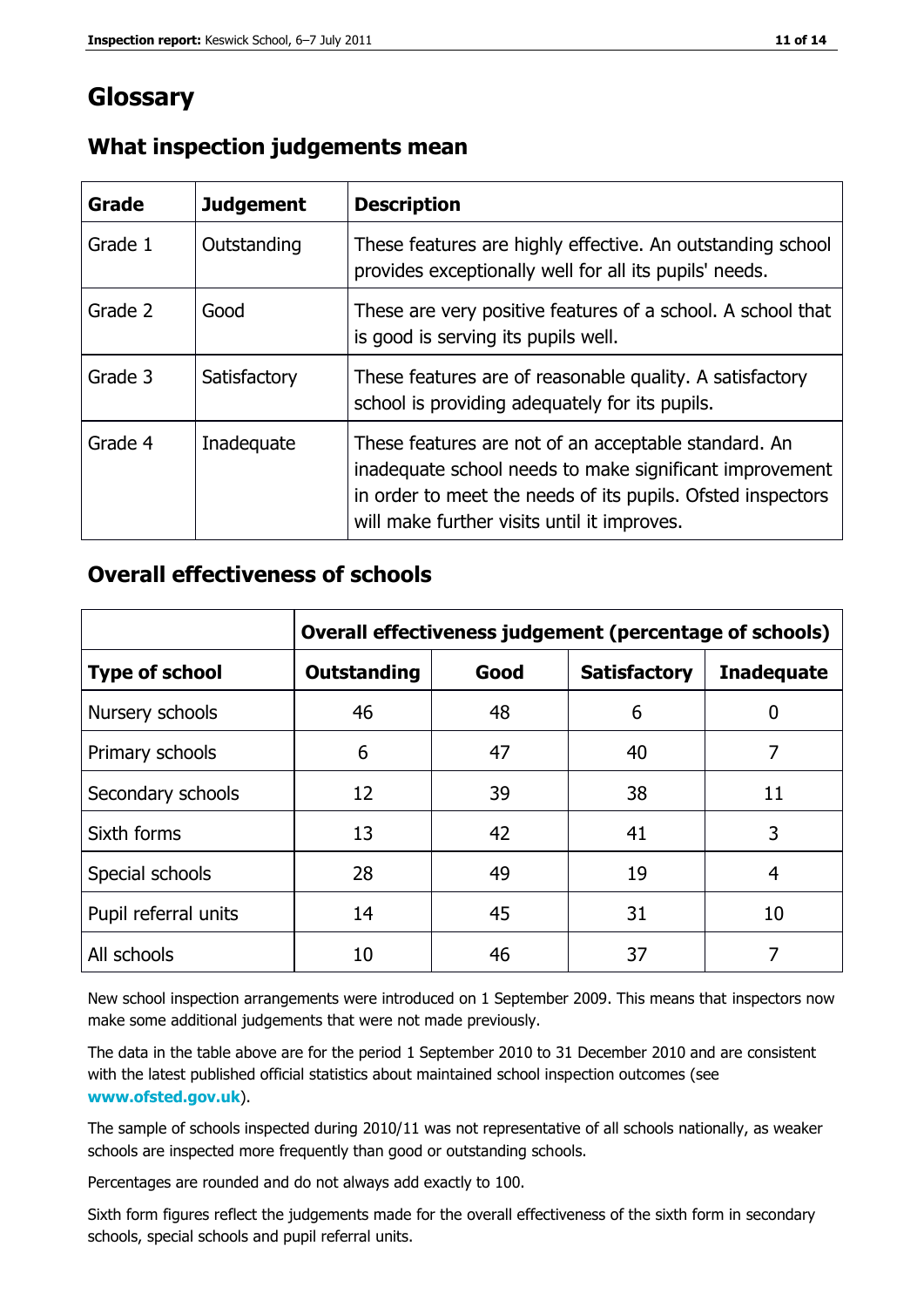## **Glossary**

| <b>Grade</b> | <b>Judgement</b> | <b>Description</b>                                                                                                                                                                                                            |
|--------------|------------------|-------------------------------------------------------------------------------------------------------------------------------------------------------------------------------------------------------------------------------|
| Grade 1      | Outstanding      | These features are highly effective. An outstanding school<br>provides exceptionally well for all its pupils' needs.                                                                                                          |
| Grade 2      | Good             | These are very positive features of a school. A school that<br>is good is serving its pupils well.                                                                                                                            |
| Grade 3      | Satisfactory     | These features are of reasonable quality. A satisfactory<br>school is providing adequately for its pupils.                                                                                                                    |
| Grade 4      | Inadequate       | These features are not of an acceptable standard. An<br>inadequate school needs to make significant improvement<br>in order to meet the needs of its pupils. Ofsted inspectors<br>will make further visits until it improves. |

## **What inspection judgements mean**

#### **Overall effectiveness of schools**

|                       | Overall effectiveness judgement (percentage of schools) |      |                     |                   |
|-----------------------|---------------------------------------------------------|------|---------------------|-------------------|
| <b>Type of school</b> | <b>Outstanding</b>                                      | Good | <b>Satisfactory</b> | <b>Inadequate</b> |
| Nursery schools       | 46                                                      | 48   | 6                   |                   |
| Primary schools       | 6                                                       | 47   | 40                  | 7                 |
| Secondary schools     | 12                                                      | 39   | 38                  | 11                |
| Sixth forms           | 13                                                      | 42   | 41                  | 3                 |
| Special schools       | 28                                                      | 49   | 19                  | 4                 |
| Pupil referral units  | 14                                                      | 45   | 31                  | 10                |
| All schools           | 10                                                      | 46   | 37                  |                   |

New school inspection arrangements were introduced on 1 September 2009. This means that inspectors now make some additional judgements that were not made previously.

The data in the table above are for the period 1 September 2010 to 31 December 2010 and are consistent with the latest published official statistics about maintained school inspection outcomes (see **[www.ofsted.gov.uk](http://www.ofsted.gov.uk/)**).

The sample of schools inspected during 2010/11 was not representative of all schools nationally, as weaker schools are inspected more frequently than good or outstanding schools.

Percentages are rounded and do not always add exactly to 100.

Sixth form figures reflect the judgements made for the overall effectiveness of the sixth form in secondary schools, special schools and pupil referral units.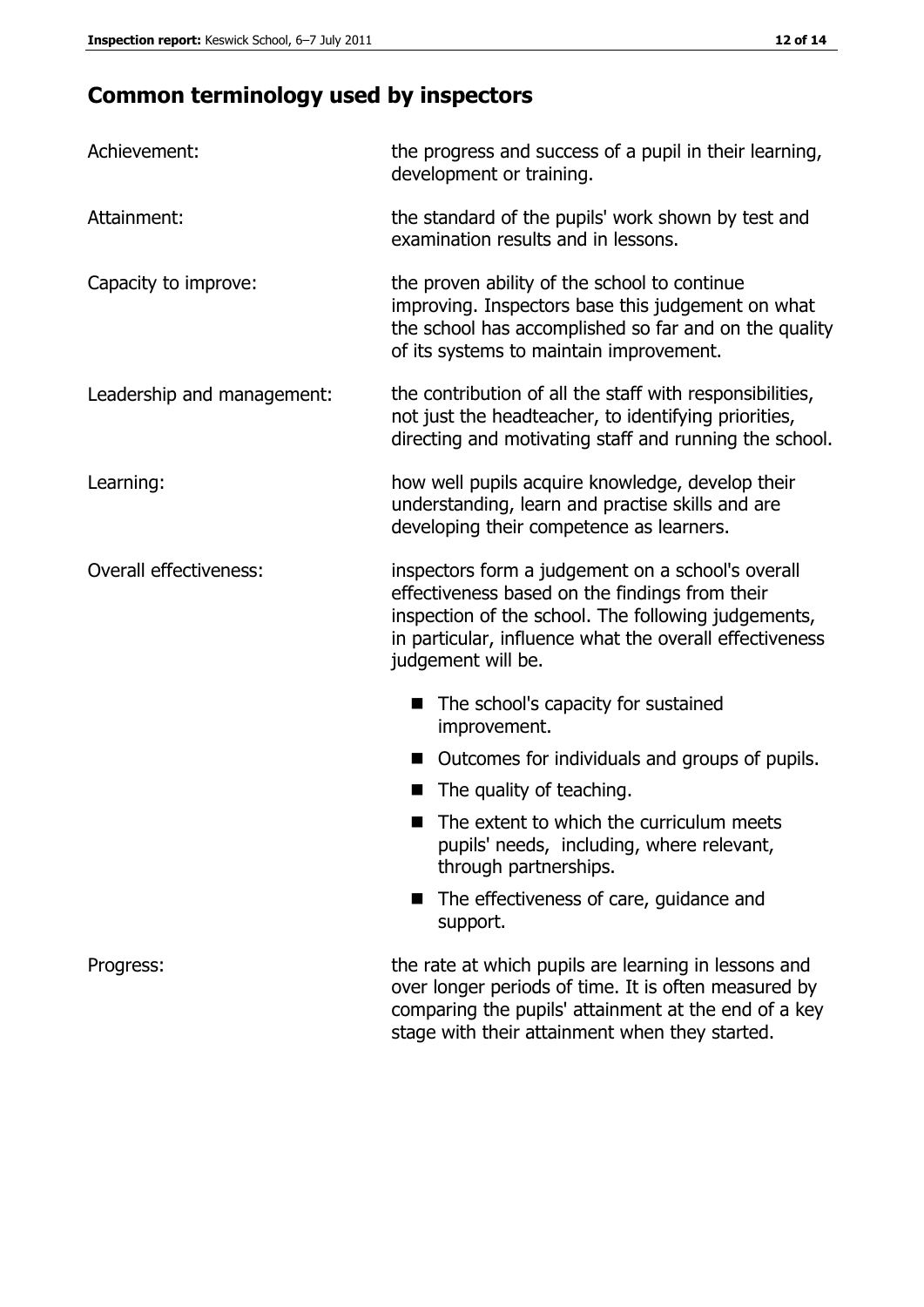# **Common terminology used by inspectors**

| Achievement:                  | the progress and success of a pupil in their learning,<br>development or training.                                                                                                                                                          |  |
|-------------------------------|---------------------------------------------------------------------------------------------------------------------------------------------------------------------------------------------------------------------------------------------|--|
| Attainment:                   | the standard of the pupils' work shown by test and<br>examination results and in lessons.                                                                                                                                                   |  |
| Capacity to improve:          | the proven ability of the school to continue<br>improving. Inspectors base this judgement on what<br>the school has accomplished so far and on the quality<br>of its systems to maintain improvement.                                       |  |
| Leadership and management:    | the contribution of all the staff with responsibilities,<br>not just the headteacher, to identifying priorities,<br>directing and motivating staff and running the school.                                                                  |  |
| Learning:                     | how well pupils acquire knowledge, develop their<br>understanding, learn and practise skills and are<br>developing their competence as learners.                                                                                            |  |
| <b>Overall effectiveness:</b> | inspectors form a judgement on a school's overall<br>effectiveness based on the findings from their<br>inspection of the school. The following judgements,<br>in particular, influence what the overall effectiveness<br>judgement will be. |  |
|                               | The school's capacity for sustained<br>improvement.                                                                                                                                                                                         |  |
|                               | Outcomes for individuals and groups of pupils.                                                                                                                                                                                              |  |
|                               | The quality of teaching.                                                                                                                                                                                                                    |  |
|                               | The extent to which the curriculum meets<br>pupils' needs, including, where relevant,<br>through partnerships.                                                                                                                              |  |
|                               | The effectiveness of care, guidance and<br>support.                                                                                                                                                                                         |  |
| Progress:                     | the rate at which pupils are learning in lessons and<br>over longer periods of time. It is often measured by<br>comparing the pupils' attainment at the end of a key                                                                        |  |

stage with their attainment when they started.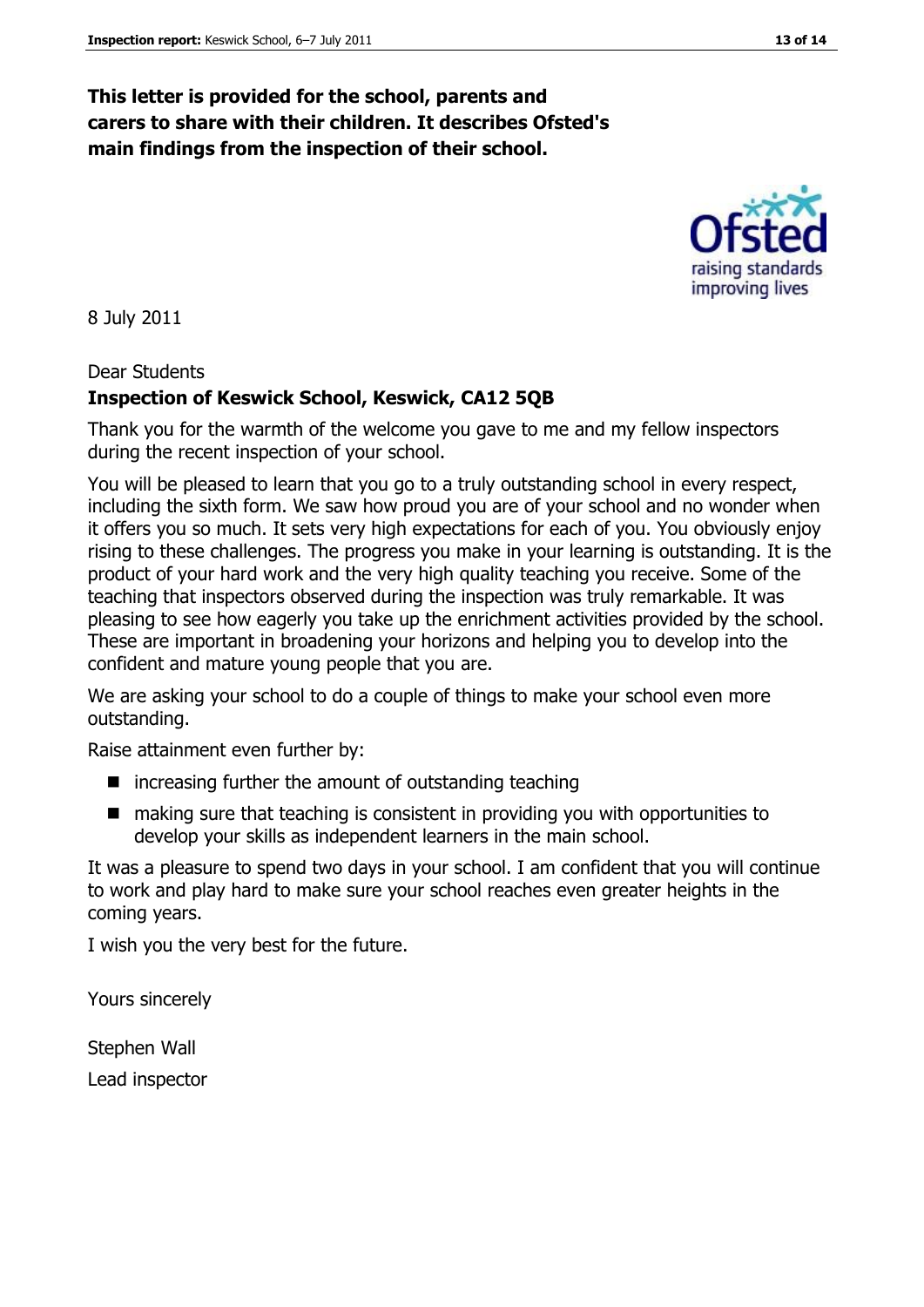## **This letter is provided for the school, parents and carers to share with their children. It describes Ofsted's main findings from the inspection of their school.**

8 July 2011

#### Dear Students

#### **Inspection of Keswick School, Keswick, CA12 5QB**

Thank you for the warmth of the welcome you gave to me and my fellow inspectors during the recent inspection of your school.

You will be pleased to learn that you go to a truly outstanding school in every respect, including the sixth form. We saw how proud you are of your school and no wonder when it offers you so much. It sets very high expectations for each of you. You obviously enjoy rising to these challenges. The progress you make in your learning is outstanding. It is the product of your hard work and the very high quality teaching you receive. Some of the teaching that inspectors observed during the inspection was truly remarkable. It was pleasing to see how eagerly you take up the enrichment activities provided by the school. These are important in broadening your horizons and helping you to develop into the confident and mature young people that you are.

We are asking your school to do a couple of things to make your school even more outstanding.

Raise attainment even further by:

- $\blacksquare$  increasing further the amount of outstanding teaching
- making sure that teaching is consistent in providing you with opportunities to develop your skills as independent learners in the main school.

It was a pleasure to spend two days in your school. I am confident that you will continue to work and play hard to make sure your school reaches even greater heights in the coming years.

I wish you the very best for the future.

Yours sincerely

Stephen Wall Lead inspector